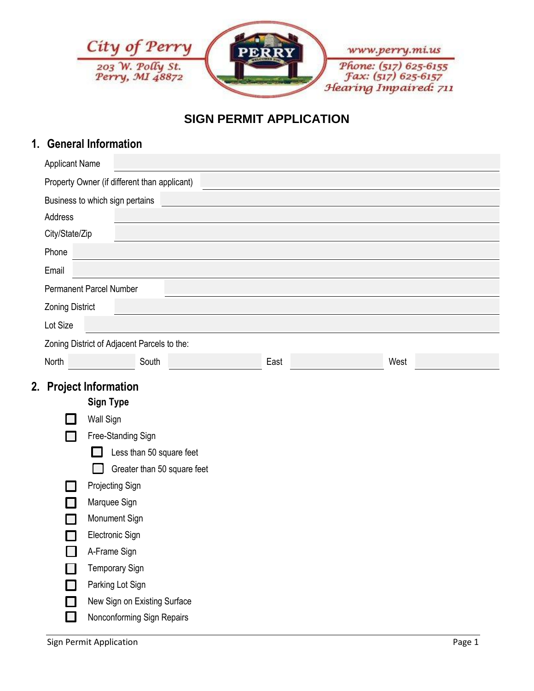

# **SIGN PERMIT APPLICATION**

### **1. General Information**

| Property Owner (if different than applicant)<br>Business to which sign pertains<br>Address<br>City/State/Zip<br>Phone<br>Email<br><b>Permanent Parcel Number</b><br><b>Zoning District</b> |                       |  |  |  |  |  |  |
|--------------------------------------------------------------------------------------------------------------------------------------------------------------------------------------------|-----------------------|--|--|--|--|--|--|
|                                                                                                                                                                                            |                       |  |  |  |  |  |  |
|                                                                                                                                                                                            |                       |  |  |  |  |  |  |
|                                                                                                                                                                                            |                       |  |  |  |  |  |  |
|                                                                                                                                                                                            |                       |  |  |  |  |  |  |
|                                                                                                                                                                                            |                       |  |  |  |  |  |  |
|                                                                                                                                                                                            |                       |  |  |  |  |  |  |
|                                                                                                                                                                                            |                       |  |  |  |  |  |  |
|                                                                                                                                                                                            |                       |  |  |  |  |  |  |
| Lot Size                                                                                                                                                                                   |                       |  |  |  |  |  |  |
| Zoning District of Adjacent Parcels to the:                                                                                                                                                |                       |  |  |  |  |  |  |
| North<br>South<br>West<br>East                                                                                                                                                             |                       |  |  |  |  |  |  |
| 2. Project Information                                                                                                                                                                     |                       |  |  |  |  |  |  |
| <b>Sign Type</b>                                                                                                                                                                           |                       |  |  |  |  |  |  |
| <b>Wall Sign</b>                                                                                                                                                                           |                       |  |  |  |  |  |  |
| Free-Standing Sign                                                                                                                                                                         |                       |  |  |  |  |  |  |
| Less than 50 square feet                                                                                                                                                                   |                       |  |  |  |  |  |  |
| Greater than 50 square feet                                                                                                                                                                |                       |  |  |  |  |  |  |
| Projecting Sign                                                                                                                                                                            |                       |  |  |  |  |  |  |
| Marquee Sign                                                                                                                                                                               |                       |  |  |  |  |  |  |
| Monument Sign                                                                                                                                                                              |                       |  |  |  |  |  |  |
| Electronic Sign                                                                                                                                                                            |                       |  |  |  |  |  |  |
| A-Frame Sign                                                                                                                                                                               |                       |  |  |  |  |  |  |
|                                                                                                                                                                                            | <b>Temporary Sign</b> |  |  |  |  |  |  |
|                                                                                                                                                                                            | Parking Lot Sign      |  |  |  |  |  |  |
| New Sign on Existing Surface                                                                                                                                                               |                       |  |  |  |  |  |  |
| Nonconforming Sign Repairs                                                                                                                                                                 |                       |  |  |  |  |  |  |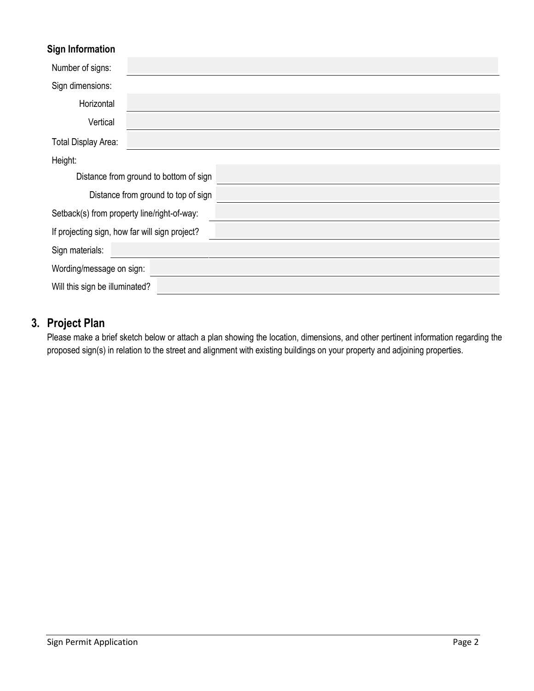#### **Sign Information**

| Number of signs:                            |                                                |  |
|---------------------------------------------|------------------------------------------------|--|
| Sign dimensions:                            |                                                |  |
| Horizontal                                  |                                                |  |
| Vertical                                    |                                                |  |
| Total Display Area:                         |                                                |  |
| Height:                                     |                                                |  |
|                                             | Distance from ground to bottom of sign         |  |
|                                             | Distance from ground to top of sign            |  |
| Setback(s) from property line/right-of-way: |                                                |  |
|                                             | If projecting sign, how far will sign project? |  |
| Sign materials:                             |                                                |  |
| Wording/message on sign:                    |                                                |  |
| Will this sign be illuminated?              |                                                |  |

# **3. Project Plan**

Please make a brief sketch below or attach a plan showing the location, dimensions, and other pertinent information regarding the proposed sign(s) in relation to the street and alignment with existing buildings on your property and adjoining properties.